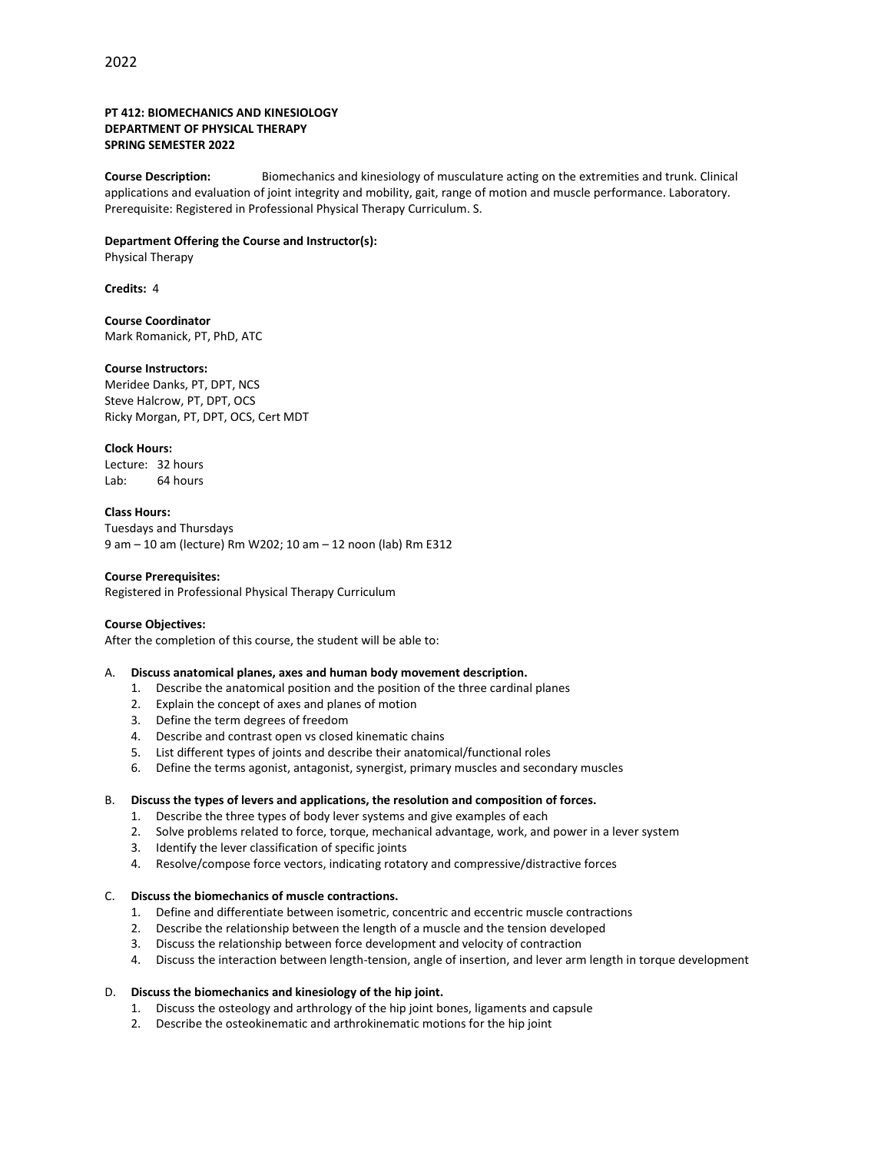### **PT 412: BIOMECHANICS AND KINESIOLOGY DEPARTMENT OF PHYSICAL THERAPY SPRING SEMESTER 2022**

**Course Description:** Biomechanics and kinesiology of musculature acting on the extremities and trunk. Clinical applications and evaluation of joint integrity and mobility, gait, range of motion and muscle performance. Laboratory. Prerequisite: Registered in Professional Physical Therapy Curriculum. S.

#### **Department Offering the Course and Instructor(s):**

Physical Therapy

**Credits:** 4

**Course Coordinator** Mark Romanick, PT, PhD, ATC

#### **Course Instructors:**

Meridee Danks, PT, DPT, NCS Steve Halcrow, PT, DPT, OCS Ricky Morgan, PT, DPT, OCS, Cert MDT

#### **Clock Hours:**

Lecture: 32 hours Lab: 64 hours

#### **Class Hours:**

Tuesdays and Thursdays 9 am – 10 am (lecture) Rm W202; 10 am – 12 noon (lab) Rm E312

## **Course Prerequisites:**

Registered in Professional Physical Therapy Curriculum

#### **Course Objectives:**

After the completion of this course, the student will be able to:

#### A. **Discuss anatomical planes, axes and human body movement description.**

- 1. Describe the anatomical position and the position of the three cardinal planes
- 2. Explain the concept of axes and planes of motion
- 3. Define the term degrees of freedom
- 4. Describe and contrast open vs closed kinematic chains
- 5. List different types of joints and describe their anatomical/functional roles
- 6. Define the terms agonist, antagonist, synergist, primary muscles and secondary muscles

#### B. **Discuss the types of levers and applications, the resolution and composition of forces.**

- 1. Describe the three types of body lever systems and give examples of each
- 2. Solve problems related to force, torque, mechanical advantage, work, and power in a lever system
- 3. Identify the lever classification of specific joints
- 4. Resolve/compose force vectors, indicating rotatory and compressive/distractive forces

### C. **Discuss the biomechanics of muscle contractions.**

- 1. Define and differentiate between isometric, concentric and eccentric muscle contractions
- 2. Describe the relationship between the length of a muscle and the tension developed
- 3. Discuss the relationship between force development and velocity of contraction
- 4. Discuss the interaction between length-tension, angle of insertion, and lever arm length in torque development

#### D. **Discuss the biomechanics and kinesiology of the hip joint.**

- 1. Discuss the osteology and arthrology of the hip joint bones, ligaments and capsule
- 2. Describe the osteokinematic and arthrokinematic motions for the hip joint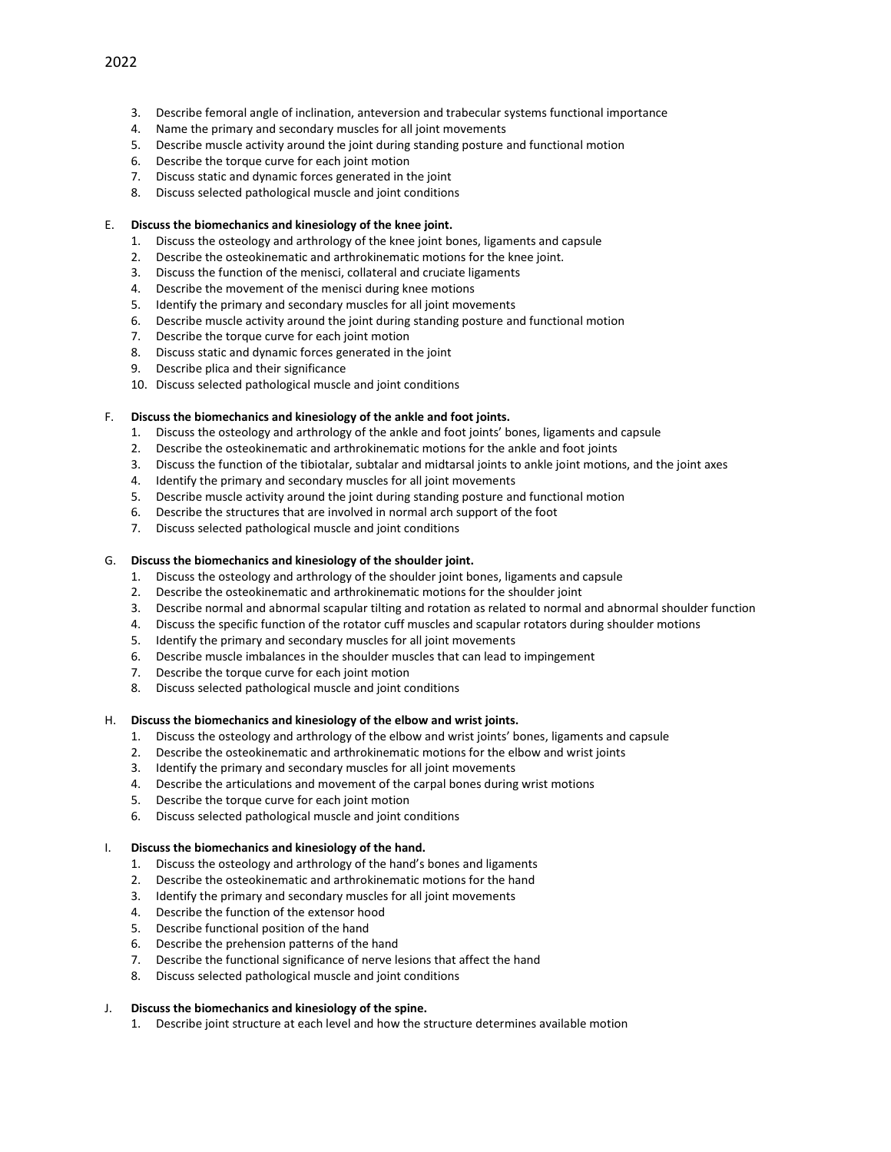- 3. Describe femoral angle of inclination, anteversion and trabecular systems functional importance
- 4. Name the primary and secondary muscles for all joint movements
- 5. Describe muscle activity around the joint during standing posture and functional motion
- 6. Describe the torque curve for each joint motion
- 7. Discuss static and dynamic forces generated in the joint
- 8. Discuss selected pathological muscle and joint conditions

# E. **Discuss the biomechanics and kinesiology of the knee joint.**

- 1. Discuss the osteology and arthrology of the knee joint bones, ligaments and capsule
- 2. Describe the osteokinematic and arthrokinematic motions for the knee joint.
- 3. Discuss the function of the menisci, collateral and cruciate ligaments
- 4. Describe the movement of the menisci during knee motions
- 5. Identify the primary and secondary muscles for all joint movements
- 6. Describe muscle activity around the joint during standing posture and functional motion
- 7. Describe the torque curve for each joint motion
- 8. Discuss static and dynamic forces generated in the joint
- 9. Describe plica and their significance
- 10. Discuss selected pathological muscle and joint conditions

# F. **Discuss the biomechanics and kinesiology of the ankle and foot joints.**

- 1. Discuss the osteology and arthrology of the ankle and foot joints' bones, ligaments and capsule
- 2. Describe the osteokinematic and arthrokinematic motions for the ankle and foot joints
- 3. Discuss the function of the tibiotalar, subtalar and midtarsal joints to ankle joint motions, and the joint axes
- 4. Identify the primary and secondary muscles for all joint movements
- 5. Describe muscle activity around the joint during standing posture and functional motion
- 6. Describe the structures that are involved in normal arch support of the foot
- 7. Discuss selected pathological muscle and joint conditions

# G. **Discuss the biomechanics and kinesiology of the shoulder joint.**

- 1. Discuss the osteology and arthrology of the shoulder joint bones, ligaments and capsule
- 2. Describe the osteokinematic and arthrokinematic motions for the shoulder joint
- 3. Describe normal and abnormal scapular tilting and rotation as related to normal and abnormal shoulder function
- 4. Discuss the specific function of the rotator cuff muscles and scapular rotators during shoulder motions
- 5. Identify the primary and secondary muscles for all joint movements
- 6. Describe muscle imbalances in the shoulder muscles that can lead to impingement
- 7. Describe the torque curve for each joint motion
- 8. Discuss selected pathological muscle and joint conditions

# H. **Discuss the biomechanics and kinesiology of the elbow and wrist joints.**

- 1. Discuss the osteology and arthrology of the elbow and wrist joints' bones, ligaments and capsule
- 2. Describe the osteokinematic and arthrokinematic motions for the elbow and wrist joints
- 3. Identify the primary and secondary muscles for all joint movements
- 4. Describe the articulations and movement of the carpal bones during wrist motions
- 5. Describe the torque curve for each joint motion
- 6. Discuss selected pathological muscle and joint conditions

# I. **Discuss the biomechanics and kinesiology of the hand.**

- 1. Discuss the osteology and arthrology of the hand's bones and ligaments
- 2. Describe the osteokinematic and arthrokinematic motions for the hand
- 3. Identify the primary and secondary muscles for all joint movements
- 4. Describe the function of the extensor hood
- 5. Describe functional position of the hand
- 6. Describe the prehension patterns of the hand
- 7. Describe the functional significance of nerve lesions that affect the hand
- 8. Discuss selected pathological muscle and joint conditions

# J. **Discuss the biomechanics and kinesiology of the spine.**

1. Describe joint structure at each level and how the structure determines available motion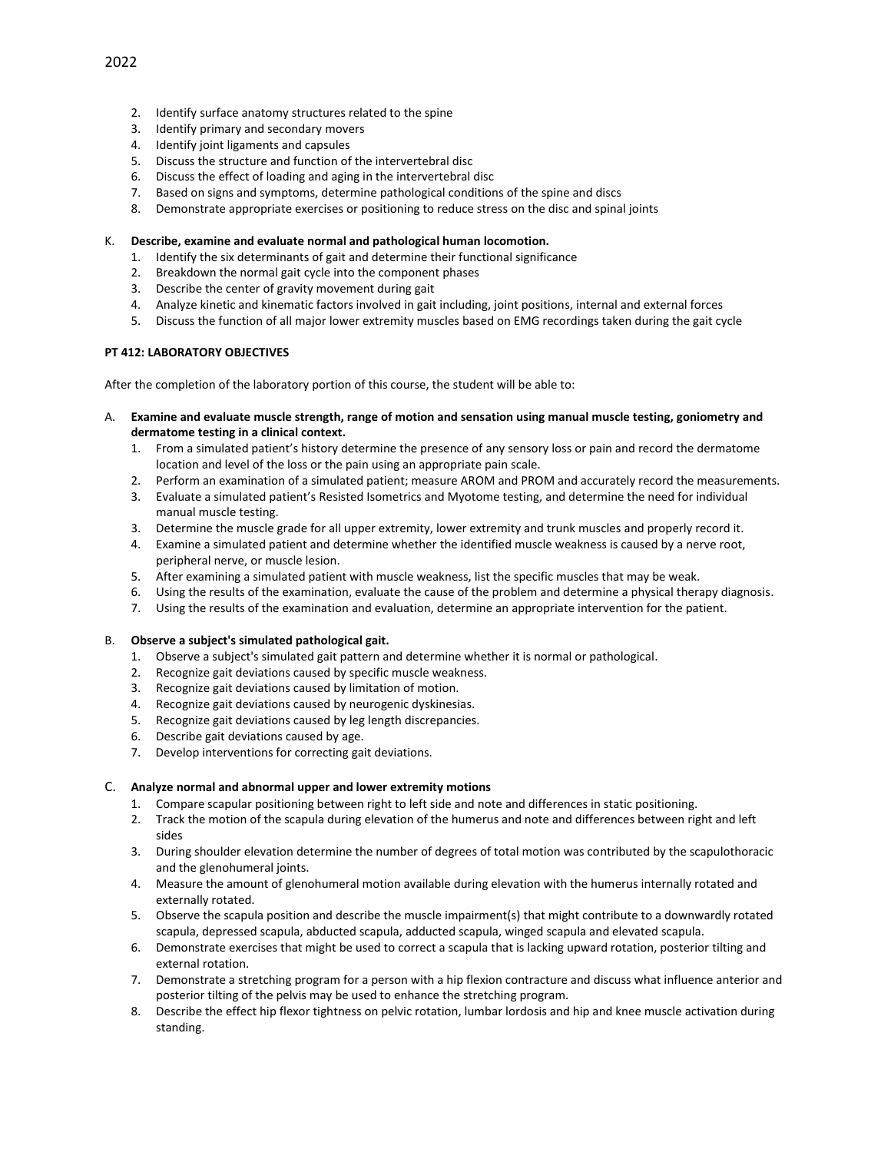- 2. Identify surface anatomy structures related to the spine
- 3. Identify primary and secondary movers
- 4. Identify joint ligaments and capsules
- 5. Discuss the structure and function of the intervertebral disc
- 6. Discuss the effect of loading and aging in the intervertebral disc
- 7. Based on signs and symptoms, determine pathological conditions of the spine and discs
- 8. Demonstrate appropriate exercises or positioning to reduce stress on the disc and spinal joints

### K. **Describe, examine and evaluate normal and pathological human locomotion.**

- 1. Identify the six determinants of gait and determine their functional significance
- 2. Breakdown the normal gait cycle into the component phases
- 3. Describe the center of gravity movement during gait
- 4. Analyze kinetic and kinematic factors involved in gait including, joint positions, internal and external forces
- 5. Discuss the function of all major lower extremity muscles based on EMG recordings taken during the gait cycle

## **PT 412: LABORATORY OBJECTIVES**

After the completion of the laboratory portion of this course, the student will be able to:

- A. **Examine and evaluate muscle strength, range of motion and sensation using manual muscle testing, goniometry and dermatome testing in a clinical context.**
	- 1. From a simulated patient's history determine the presence of any sensory loss or pain and record the dermatome location and level of the loss or the pain using an appropriate pain scale.
	- 2. Perform an examination of a simulated patient; measure AROM and PROM and accurately record the measurements.
	- 3. Evaluate a simulated patient's Resisted Isometrics and Myotome testing, and determine the need for individual manual muscle testing.
	- 3. Determine the muscle grade for all upper extremity, lower extremity and trunk muscles and properly record it.
	- 4. Examine a simulated patient and determine whether the identified muscle weakness is caused by a nerve root, peripheral nerve, or muscle lesion.
	- 5. After examining a simulated patient with muscle weakness, list the specific muscles that may be weak.
	- 6. Using the results of the examination, evaluate the cause of the problem and determine a physical therapy diagnosis.
	- 7. Using the results of the examination and evaluation, determine an appropriate intervention for the patient.

## B. **Observe a subject's simulated pathological gait.**

- 1. Observe a subject's simulated gait pattern and determine whether it is normal or pathological.
- 2. Recognize gait deviations caused by specific muscle weakness.
- 3. Recognize gait deviations caused by limitation of motion.
- 4. Recognize gait deviations caused by neurogenic dyskinesias.
- 5. Recognize gait deviations caused by leg length discrepancies.
- 6. Describe gait deviations caused by age.
- 7. Develop interventions for correcting gait deviations.

## C. **Analyze normal and abnormal upper and lower extremity motions**

- 1. Compare scapular positioning between right to left side and note and differences in static positioning.
- 2. Track the motion of the scapula during elevation of the humerus and note and differences between right and left sides
- 3. During shoulder elevation determine the number of degrees of total motion was contributed by the scapulothoracic and the glenohumeral joints.
- 4. Measure the amount of glenohumeral motion available during elevation with the humerus internally rotated and externally rotated.
- 5. Observe the scapula position and describe the muscle impairment(s) that might contribute to a downwardly rotated scapula, depressed scapula, abducted scapula, adducted scapula, winged scapula and elevated scapula.
- 6. Demonstrate exercises that might be used to correct a scapula that is lacking upward rotation, posterior tilting and external rotation.
- 7. Demonstrate a stretching program for a person with a hip flexion contracture and discuss what influence anterior and posterior tilting of the pelvis may be used to enhance the stretching program.
- 8. Describe the effect hip flexor tightness on pelvic rotation, lumbar lordosis and hip and knee muscle activation during standing.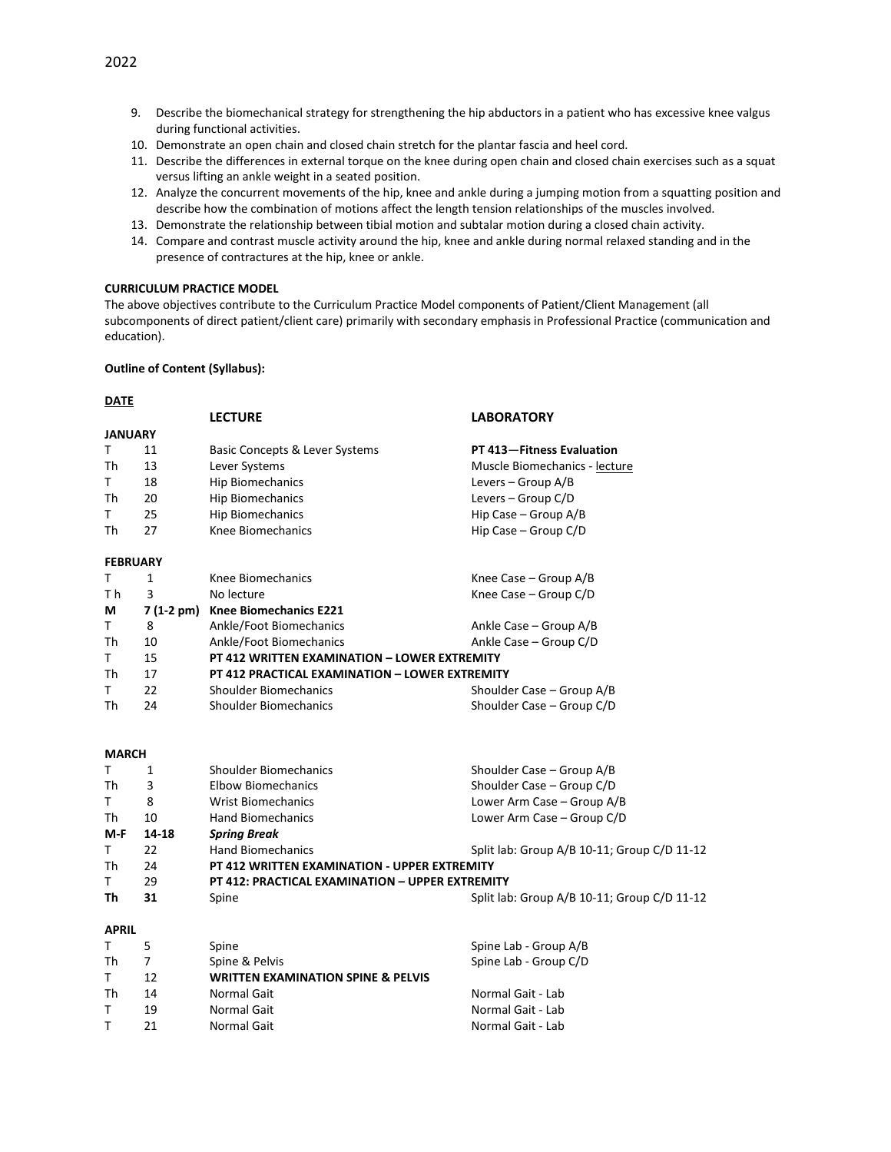- 9. Describe the biomechanical strategy for strengthening the hip abductors in a patient who has excessive knee valgus during functional activities.
- 10. Demonstrate an open chain and closed chain stretch for the plantar fascia and heel cord.
- 11. Describe the differences in external torque on the knee during open chain and closed chain exercises such as a squat versus lifting an ankle weight in a seated position.
- 12. Analyze the concurrent movements of the hip, knee and ankle during a jumping motion from a squatting position and describe how the combination of motions affect the length tension relationships of the muscles involved.
- 13. Demonstrate the relationship between tibial motion and subtalar motion during a closed chain activity.
- 14. Compare and contrast muscle activity around the hip, knee and ankle during normal relaxed standing and in the presence of contractures at the hip, knee or ankle.

### **CURRICULUM PRACTICE MODEL**

The above objectives contribute to the Curriculum Practice Model components of Patient/Client Management (all subcomponents of direct patient/client care) primarily with secondary emphasis in Professional Practice (communication and education).

### **Outline of Content (Syllabus):**

## **DATE**

| $\sim$          |              |                                                 |                                             |  |  |
|-----------------|--------------|-------------------------------------------------|---------------------------------------------|--|--|
|                 |              | <b>LECTURE</b>                                  | <b>LABORATORY</b>                           |  |  |
| <b>JANUARY</b>  |              |                                                 |                                             |  |  |
| Τ               | 11           | Basic Concepts & Lever Systems                  | PT 413-Fitness Evaluation                   |  |  |
| Th              | 13           | Lever Systems                                   | Muscle Biomechanics - lecture               |  |  |
| T               | 18           | Hip Biomechanics                                | Levers - Group A/B                          |  |  |
| Th              | 20           | <b>Hip Biomechanics</b>                         | Levers - Group C/D                          |  |  |
| T.              | 25           | <b>Hip Biomechanics</b>                         | Hip Case - Group A/B                        |  |  |
| Th              | 27           | Knee Biomechanics                               | Hip Case - Group C/D                        |  |  |
| <b>FEBRUARY</b> |              |                                                 |                                             |  |  |
| т               | 1            | Knee Biomechanics                               | Knee Case - Group A/B                       |  |  |
| T <sub>h</sub>  | 3            | No lecture                                      | Knee Case - Group C/D                       |  |  |
| М               |              | 7 (1-2 pm) Knee Biomechanics E221               |                                             |  |  |
| T.              | 8            | Ankle/Foot Biomechanics                         | Ankle Case – Group A/B                      |  |  |
| Th              | 10           | Ankle/Foot Biomechanics                         | Ankle Case - Group C/D                      |  |  |
| T.              | 15           | PT 412 WRITTEN EXAMINATION - LOWER EXTREMITY    |                                             |  |  |
| <b>Th</b>       | 17           | PT 412 PRACTICAL EXAMINATION - LOWER EXTREMITY  |                                             |  |  |
| T               | 22           | <b>Shoulder Biomechanics</b>                    | Shoulder Case - Group A/B                   |  |  |
| Th              | 24           | <b>Shoulder Biomechanics</b>                    | Shoulder Case - Group C/D                   |  |  |
| <b>MARCH</b>    |              |                                                 |                                             |  |  |
| T               | $\mathbf{1}$ | Shoulder Biomechanics                           | Shoulder Case – Group A/B                   |  |  |
| Th              | 3            | <b>Elbow Biomechanics</b>                       | Shoulder Case - Group C/D                   |  |  |
| T.              | 8            | <b>Wrist Biomechanics</b>                       | Lower Arm Case - Group A/B                  |  |  |
| Th              | 10           | <b>Hand Biomechanics</b>                        | Lower Arm Case - Group C/D                  |  |  |
| M-F             | 14-18        | <b>Spring Break</b>                             |                                             |  |  |
| T.              | 22           | <b>Hand Biomechanics</b>                        | Split lab: Group A/B 10-11; Group C/D 11-12 |  |  |
| Th              | 24           | PT 412 WRITTEN EXAMINATION - UPPER EXTREMITY    |                                             |  |  |
| T.              | 29           | PT 412: PRACTICAL EXAMINATION - UPPER EXTREMITY |                                             |  |  |
| Th              | 31           | Spine                                           | Split lab: Group A/B 10-11; Group C/D 11-12 |  |  |
| <b>APRIL</b>    |              |                                                 |                                             |  |  |
|                 |              |                                                 |                                             |  |  |

| ALNIL |    |                                               |                       |  |  |  |  |
|-------|----|-----------------------------------------------|-----------------------|--|--|--|--|
|       |    | Spine                                         | Spine Lab - Group A/B |  |  |  |  |
| Th    |    | Spine & Pelvis                                | Spine Lab - Group C/D |  |  |  |  |
| T.    | 12 | <b>WRITTEN EXAMINATION SPINE &amp; PELVIS</b> |                       |  |  |  |  |
| Th    | 14 | Normal Gait                                   | Normal Gait - Lab     |  |  |  |  |
|       | 19 | Normal Gait                                   | Normal Gait - Lab     |  |  |  |  |
|       | 21 | Normal Gait                                   | Normal Gait - Lab     |  |  |  |  |
|       |    |                                               |                       |  |  |  |  |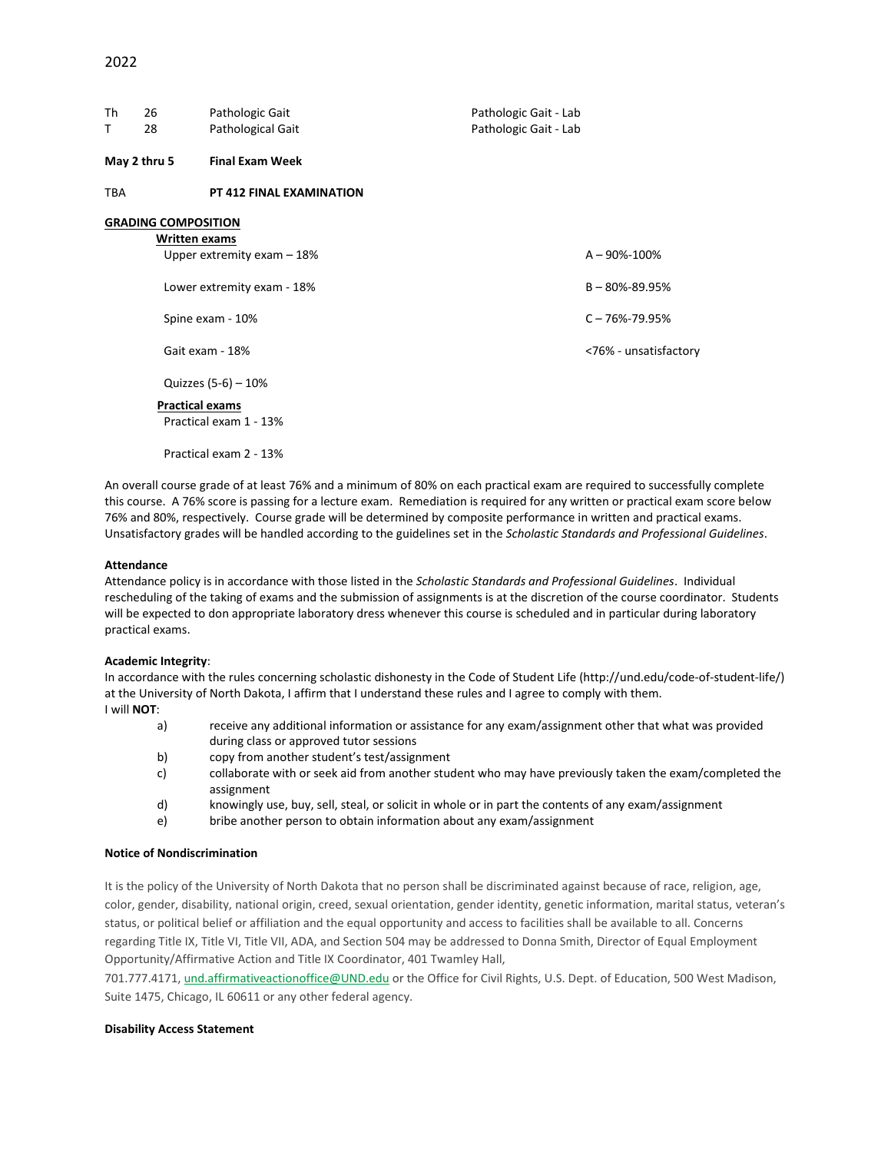| Th<br>T | 26<br>28                                    | Pathologic Gait<br>Pathological Gait                                                             | Pathologic Gait - Lab<br>Pathologic Gait - Lab |                                                                                           |
|---------|---------------------------------------------|--------------------------------------------------------------------------------------------------|------------------------------------------------|-------------------------------------------------------------------------------------------|
|         | May 2 thru 5                                | <b>Final Exam Week</b>                                                                           |                                                |                                                                                           |
| TBA     |                                             | <b>PT 412 FINAL EXAMINATION</b>                                                                  |                                                |                                                                                           |
|         | <b>GRADING COMPOSITION</b><br>Written exams | Upper extremity exam $-18%$<br>Lower extremity exam - 18%<br>Spine exam - 10%<br>Gait exam - 18% |                                                | $A - 90\% - 100\%$<br>$B - 80\% - 89.95\%$<br>$C - 76% - 79.95%$<br><76% - unsatisfactory |
|         | <b>Practical exams</b>                      | Quizzes (5-6) - 10%<br>Practical exam 1 - 13%                                                    |                                                |                                                                                           |

Practical exam 2 - 13%

An overall course grade of at least 76% and a minimum of 80% on each practical exam are required to successfully complete this course. A 76% score is passing for a lecture exam. Remediation is required for any written or practical exam score below 76% and 80%, respectively. Course grade will be determined by composite performance in written and practical exams. Unsatisfactory grades will be handled according to the guidelines set in the *Scholastic Standards and Professional Guidelines*.

#### **Attendance**

Attendance policy is in accordance with those listed in the *Scholastic Standards and Professional Guidelines*. Individual rescheduling of the taking of exams and the submission of assignments is at the discretion of the course coordinator. Students will be expected to don appropriate laboratory dress whenever this course is scheduled and in particular during laboratory practical exams.

#### **Academic Integrity**:

In accordance with the rules concerning scholastic dishonesty in the Code of Student Life (http://und.edu/code-of-student-life/) at the University of North Dakota, I affirm that I understand these rules and I agree to comply with them. I will **NOT**:

- a) receive any additional information or assistance for any exam/assignment other that what was provided during class or approved tutor sessions
- b) copy from another student's test/assignment
- c) collaborate with or seek aid from another student who may have previously taken the exam/completed the assignment
- d) knowingly use, buy, sell, steal, or solicit in whole or in part the contents of any exam/assignment
- e) bribe another person to obtain information about any exam/assignment

#### **Notice of Nondiscrimination**

It is the policy of the University of North Dakota that no person shall be discriminated against because of race, religion, age, color, gender, disability, national origin, creed, sexual orientation, gender identity, genetic information, marital status, veteran's status, or political belief or affiliation and the equal opportunity and access to facilities shall be available to all. Concerns regarding Title IX, Title VI, Title VII, ADA, and Section 504 may be addressed to Donna Smith, Director of Equal Employment Opportunity/Affirmative Action and Title IX Coordinator, 401 Twamley Hall,

701.777.4171, [und.affirmativeactionoffice@UND.edu](mailto:und.affirmativeactionoffice@UND.edu) or the Office for Civil Rights, U.S. Dept. of Education, 500 West Madison, Suite 1475, Chicago, IL 60611 or any other federal agency.

#### **Disability Access Statement**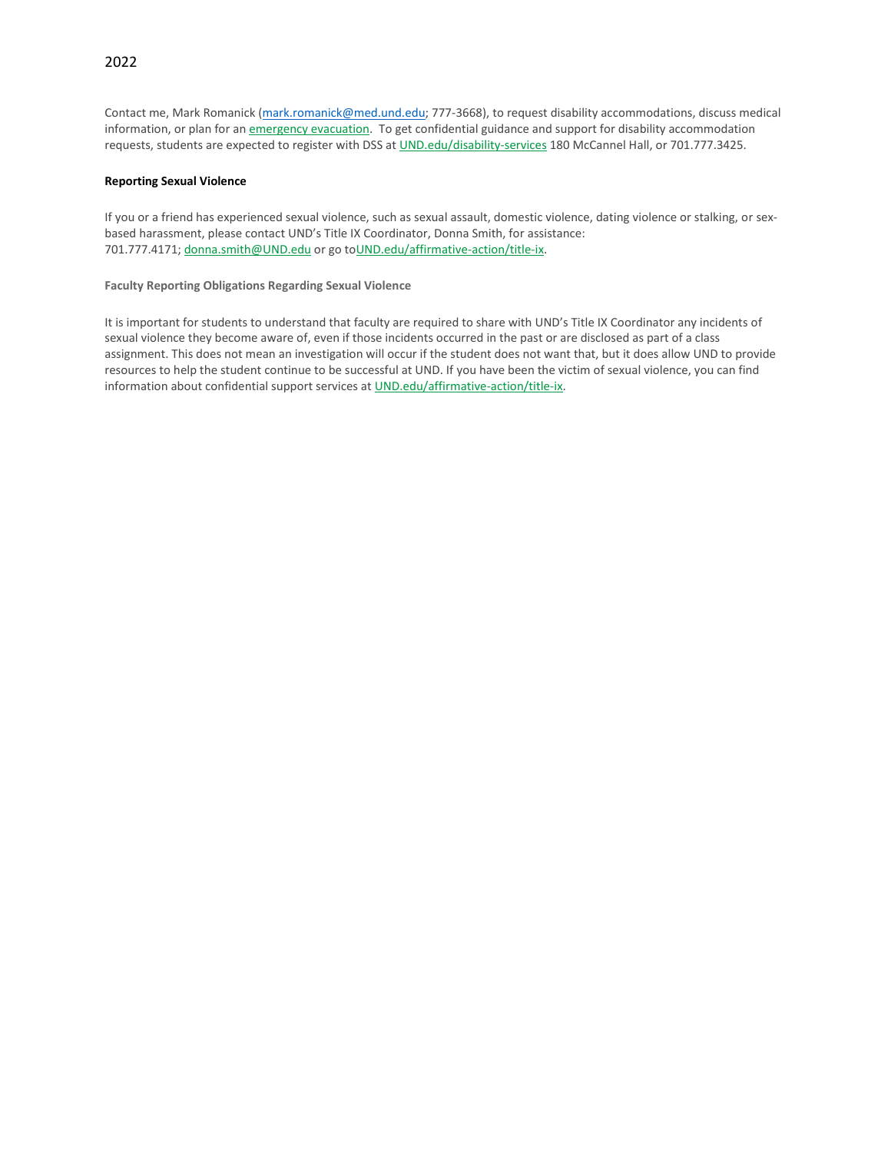# 2022

Contact me, Mark Romanick [\(mark.romanick@med.und.edu;](mailto:mark.romanick@med.und.edu) 777-3668), to request disability accommodations, discuss medical information, or plan for an [emergency evacuation.](http://und.edu/public-safety/public-safety/fire-safety.cfm) To get confidential guidance and support for disability accommodation requests, students are expected to register with DSS at [UND.edu/disability-services](http://und.edu/disability-services/index.cfm) 180 McCannel Hall, or 701.777.3425.

### **Reporting Sexual Violence**

If you or a friend has experienced sexual violence, such as sexual assault, domestic violence, dating violence or stalking, or sexbased harassment, please contact UND's Title IX Coordinator, Donna Smith, for assistance: 701.777.4171; [donna.smith@UND.edu](mailto:donna.smith@UND.edu) or go t[oUND.edu/affirmative-action/title-ix.](http://und.edu/affirmative-action/title-ix/index.cfm)

**Faculty Reporting Obligations Regarding Sexual Violence**

It is important for students to understand that faculty are required to share with UND's Title IX Coordinator any incidents of sexual violence they become aware of, even if those incidents occurred in the past or are disclosed as part of a class assignment. This does not mean an investigation will occur if the student does not want that, but it does allow UND to provide resources to help the student continue to be successful at UND. If you have been the victim of sexual violence, you can find information about confidential support services a[t UND.edu/affirmative-action/title-ix.](http://und.edu/affirmative-action/title-ix/index.cfm)